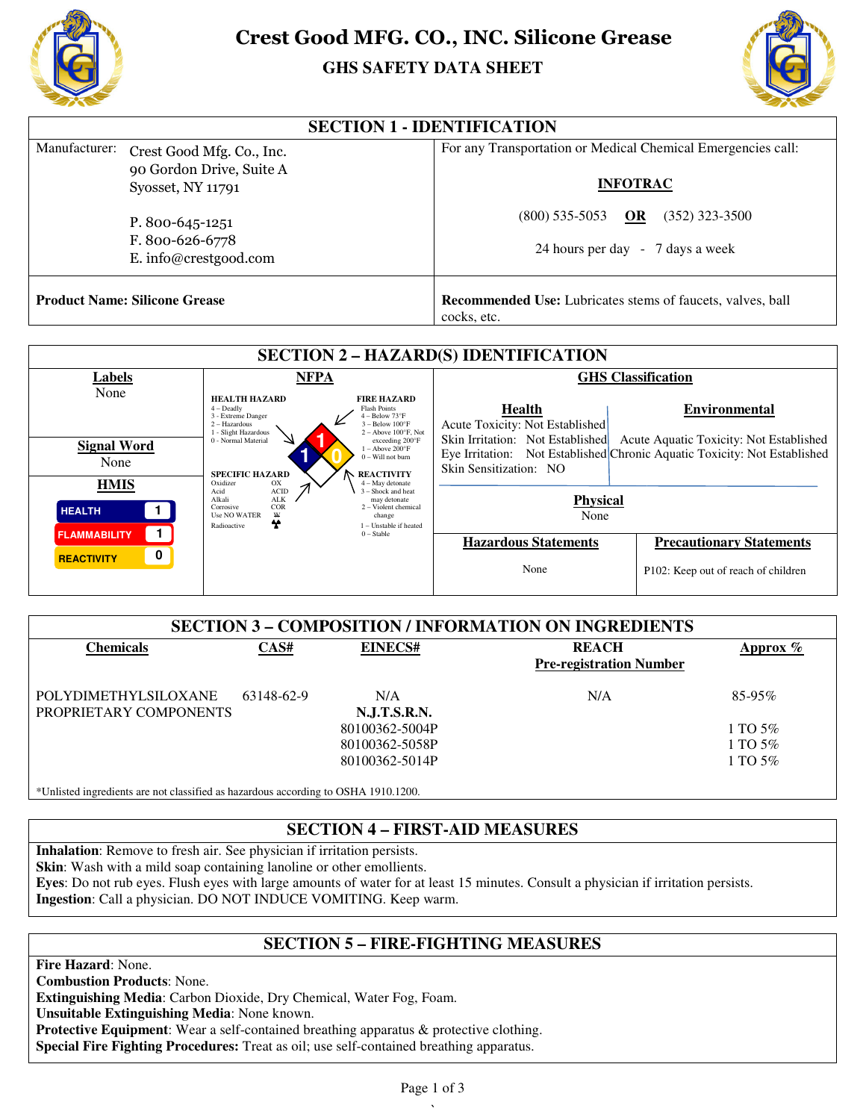

# **Crest Good MFG. CO., INC. Silicone Grease**

# **GHS GHS SAFETY DATA SHEET**



| <b>SECTION 1 - IDENTIFICATION</b>    |                                                             |                                                                                  |  |  |  |  |  |
|--------------------------------------|-------------------------------------------------------------|----------------------------------------------------------------------------------|--|--|--|--|--|
| Manufacturer:                        | Crest Good Mfg. Co., Inc.                                   | For any Transportation or Medical Chemical Emergencies call:                     |  |  |  |  |  |
|                                      | 90 Gordon Drive, Suite A<br>Syosset, NY 11791               | <b>INFOTRAC</b>                                                                  |  |  |  |  |  |
|                                      | P. 800-645-1251<br>F. 800-626-6778<br>E. info@crestgood.com | OR<br>$(800)$ 535-5053<br>$(352)$ 323-3500                                       |  |  |  |  |  |
|                                      |                                                             | 24 hours per day - 7 days a week                                                 |  |  |  |  |  |
| <b>Product Name: Silicone Grease</b> |                                                             | <b>Recommended Use:</b> Lubricates stems of faucets, valves, ball<br>cocks, etc. |  |  |  |  |  |

| <b>Crest Good MFG. CO., INC. Silicone Grease</b><br><b>GHS SAFETY DATA SHEET</b>           |                                                                                                                                                                                                                                                                                      |                                                                                                                                                                                                                                                                                                                                |                                                                                                                                    |                                                                                                                                              |  |  |  |  |  |
|--------------------------------------------------------------------------------------------|--------------------------------------------------------------------------------------------------------------------------------------------------------------------------------------------------------------------------------------------------------------------------------------|--------------------------------------------------------------------------------------------------------------------------------------------------------------------------------------------------------------------------------------------------------------------------------------------------------------------------------|------------------------------------------------------------------------------------------------------------------------------------|----------------------------------------------------------------------------------------------------------------------------------------------|--|--|--|--|--|
| <b>SECTION 1 - IDENTIFICATION</b>                                                          |                                                                                                                                                                                                                                                                                      |                                                                                                                                                                                                                                                                                                                                |                                                                                                                                    |                                                                                                                                              |  |  |  |  |  |
| Manufacturer:<br>Crest Good Mfg. Co., Inc.                                                 |                                                                                                                                                                                                                                                                                      |                                                                                                                                                                                                                                                                                                                                | For any Transportation or Medical Chemical Emergencies call:                                                                       |                                                                                                                                              |  |  |  |  |  |
|                                                                                            | 90 Gordon Drive, Suite A                                                                                                                                                                                                                                                             |                                                                                                                                                                                                                                                                                                                                | <b>INFOTRAC</b>                                                                                                                    |                                                                                                                                              |  |  |  |  |  |
| Syosset, NY 11791                                                                          |                                                                                                                                                                                                                                                                                      |                                                                                                                                                                                                                                                                                                                                |                                                                                                                                    |                                                                                                                                              |  |  |  |  |  |
| P. 800-645-1251                                                                            |                                                                                                                                                                                                                                                                                      |                                                                                                                                                                                                                                                                                                                                | $(800)$ 535-5053<br>$(352)$ 323-3500<br>OR                                                                                         |                                                                                                                                              |  |  |  |  |  |
| F. 800-626-6778                                                                            |                                                                                                                                                                                                                                                                                      |                                                                                                                                                                                                                                                                                                                                | 24 hours per day - 7 days a week                                                                                                   |                                                                                                                                              |  |  |  |  |  |
|                                                                                            | E. info@crestgood.com                                                                                                                                                                                                                                                                |                                                                                                                                                                                                                                                                                                                                |                                                                                                                                    |                                                                                                                                              |  |  |  |  |  |
| <b>Product Name: Silicone Grease</b>                                                       |                                                                                                                                                                                                                                                                                      |                                                                                                                                                                                                                                                                                                                                | Recommended Use: Lubricates stems of faucets, valves, ball<br>cocks, etc.                                                          |                                                                                                                                              |  |  |  |  |  |
| <b>SECTION 2 - HAZARD(S) IDENTIFICATION</b>                                                |                                                                                                                                                                                                                                                                                      |                                                                                                                                                                                                                                                                                                                                |                                                                                                                                    |                                                                                                                                              |  |  |  |  |  |
| <b>Labels</b>                                                                              | <b>NFPA</b>                                                                                                                                                                                                                                                                          |                                                                                                                                                                                                                                                                                                                                | <b>GHS Classification</b>                                                                                                          |                                                                                                                                              |  |  |  |  |  |
| None<br><b>Signal Word</b><br>None                                                         | <b>HEALTH HAZARD</b><br>$4 - Deadly$<br>3 - Extreme Danger<br>2 - Hazardous<br>1 - Slight Hazardous<br>0 - Normal Material<br><b>SPECIFIC HAZARD</b><br>Oxidizer<br>OX<br>ACID<br>Acid<br>$\mbox{ALK}$<br>Alkali<br>COR<br>Corrosive<br>Use NO WATER<br>$\frac{w}{2}$<br>Radioactive | <b>FIRE HAZARD</b><br><b>Flash Points</b><br>4 - Below 73°F<br>- Below 100°F<br>$2 -$ Above 100°F, Not<br>exceeding 200°F<br>$1 - Above 200°F$<br>0 - Will not burn<br><b>REACTIVITY</b><br>4 - May detonate<br>3 - Shock and heat<br>may detonate<br>2 - Violent chemical<br>change<br>1 - Unstable if heated<br>$0 - Stable$ | <b>Health</b><br>Acute Toxicity: Not Established<br>Skin Irritation: Not Established<br>Skin Sensitization: NO                     | <b>Environmental</b><br>Acute Aquatic Toxicity: Not Established<br>Eye Irritation: Not Established Chronic Aquatic Toxicity: Not Established |  |  |  |  |  |
| <b>HMIS</b><br>$\blacksquare$<br><b>HEALTH</b>                                             |                                                                                                                                                                                                                                                                                      |                                                                                                                                                                                                                                                                                                                                | <b>Physical</b><br>None                                                                                                            |                                                                                                                                              |  |  |  |  |  |
| $\mathbf{1}$<br><b>FLAMMABILITY</b><br>$\mathbf 0$                                         |                                                                                                                                                                                                                                                                                      |                                                                                                                                                                                                                                                                                                                                | <b>Hazardous Statements</b>                                                                                                        | <b>Precautionary Statements</b>                                                                                                              |  |  |  |  |  |
| <b>REACTIVITY</b>                                                                          |                                                                                                                                                                                                                                                                                      |                                                                                                                                                                                                                                                                                                                                | None                                                                                                                               | P102: Keep out of reach of children                                                                                                          |  |  |  |  |  |
| <b>SECTION 3 - COMPOSITION / INFORMATION ON INGREDIENTS</b>                                |                                                                                                                                                                                                                                                                                      |                                                                                                                                                                                                                                                                                                                                |                                                                                                                                    |                                                                                                                                              |  |  |  |  |  |
| <b>Chemicals</b>                                                                           | CAS#                                                                                                                                                                                                                                                                                 | <b>EINECS#</b>                                                                                                                                                                                                                                                                                                                 | <b>REACH</b><br><b>Pre-registration Number</b>                                                                                     | Approx %                                                                                                                                     |  |  |  |  |  |
| N/A<br><b>POLYDIMETHYLSILOXANE</b><br>63148-62-9<br>PROPRIETARY COMPONENTS<br>N.J.T.S.R.N. |                                                                                                                                                                                                                                                                                      |                                                                                                                                                                                                                                                                                                                                | N/A                                                                                                                                | 85-95%                                                                                                                                       |  |  |  |  |  |
|                                                                                            |                                                                                                                                                                                                                                                                                      | 80100362-5004P                                                                                                                                                                                                                                                                                                                 |                                                                                                                                    | 1 TO 5%                                                                                                                                      |  |  |  |  |  |
|                                                                                            |                                                                                                                                                                                                                                                                                      | 80100362-5058P<br>80100362-5014P                                                                                                                                                                                                                                                                                               |                                                                                                                                    | 1 TO 5%<br>1 TO 5%                                                                                                                           |  |  |  |  |  |
|                                                                                            |                                                                                                                                                                                                                                                                                      |                                                                                                                                                                                                                                                                                                                                |                                                                                                                                    |                                                                                                                                              |  |  |  |  |  |
| *Unlisted ingredients are not classified as hazardous according to OSHA 1910.1200.         |                                                                                                                                                                                                                                                                                      |                                                                                                                                                                                                                                                                                                                                |                                                                                                                                    |                                                                                                                                              |  |  |  |  |  |
| <b>SECTION 4 - FIRST-AID MEASURES</b>                                                      |                                                                                                                                                                                                                                                                                      |                                                                                                                                                                                                                                                                                                                                |                                                                                                                                    |                                                                                                                                              |  |  |  |  |  |
| Inhalation: Remove to fresh air. See physician if irritation persists.                     |                                                                                                                                                                                                                                                                                      |                                                                                                                                                                                                                                                                                                                                |                                                                                                                                    |                                                                                                                                              |  |  |  |  |  |
| Skin: Wash with a mild soap containing lanoline or other emollients.                       |                                                                                                                                                                                                                                                                                      |                                                                                                                                                                                                                                                                                                                                | Eyes: Do not rub eyes. Flush eyes with large amounts of water for at least 15 minutes. Consult a physician if irritation persists. |                                                                                                                                              |  |  |  |  |  |

| <b>SECTION 3 - COMPOSITION / INFORMATION ON INGREDIENTS</b> |            |                     |                                                |             |  |  |  |  |
|-------------------------------------------------------------|------------|---------------------|------------------------------------------------|-------------|--|--|--|--|
| Chemicals                                                   | CAS#       | EINECS#             | <b>REACH</b><br><b>Pre-registration Number</b> | Approx $\%$ |  |  |  |  |
| POLYDIMETHYLSILOXANE<br>PROPRIETARY COMPONENTS              | 63148-62-9 | N/A<br>N.J.T.S.R.N. | N/A                                            | $85 - 95\%$ |  |  |  |  |
|                                                             |            | 80100362-5004P      |                                                | 1 TO 5%     |  |  |  |  |
|                                                             |            | 80100362-5058P      |                                                | 1 TO $5\%$  |  |  |  |  |
|                                                             |            | 80100362-5014P      |                                                | 1 TO $5\%$  |  |  |  |  |
|                                                             |            |                     |                                                |             |  |  |  |  |

## **SECTION 4 – FIRST-AID MEASURES**

Eyes: Do not rub eyes. Flush eyes with large amounts of water for at least 15 minutes. Consult a physician if irritation persists. Ingestion: Call a physician. DO NOT INDUCE VOMITING. Keep warm.

## **SECTION 5 – FIRE-FIGHTING MEASURES**

**Fire Hazard**: None. **Combustion Products**: None. **Extinguishing Media**: Carbon Dioxide, Dry Chemical, Water Fog, Foam. **Unsuitable Extinguishing Media**: None known. Protective Equipment: Wear a self-contained breathing apparatus & protective clothing. Special Fire Fighting Procedures: Treat as oil; use self-contained breathing apparatus.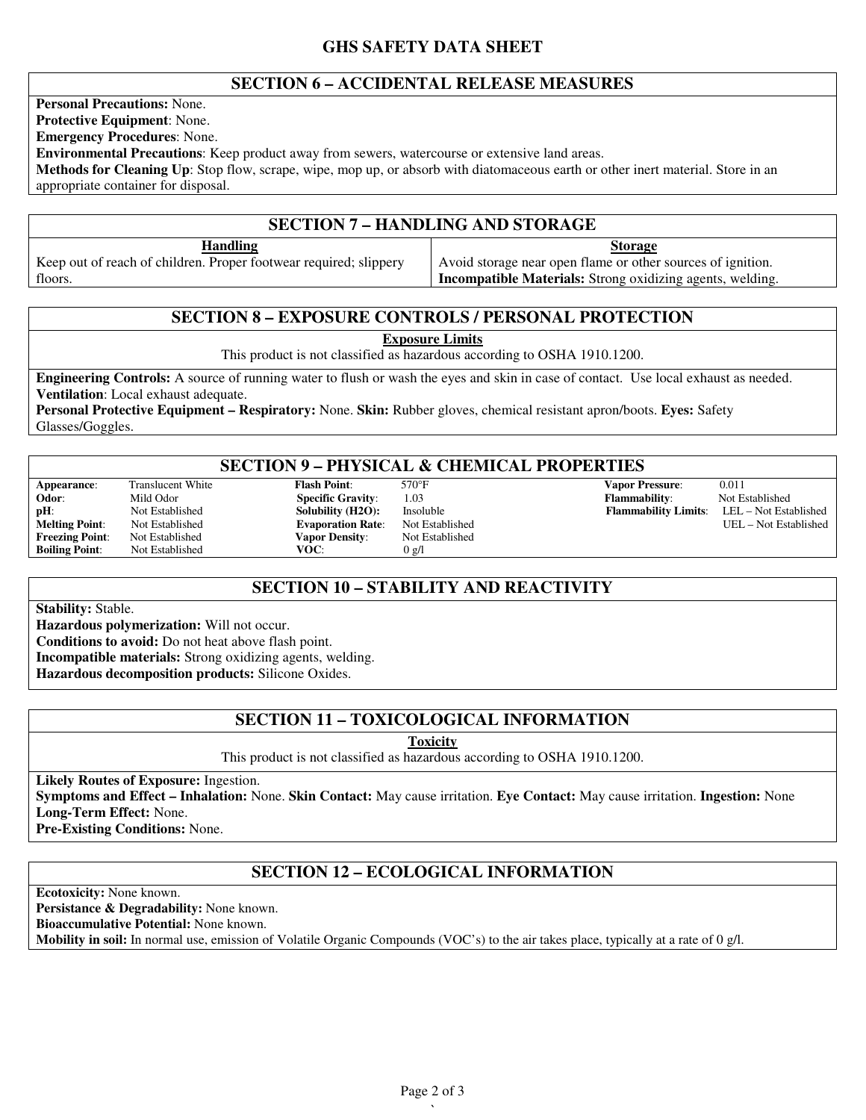### **GHS SAFETY DATA SHEET**

#### **SECTION 6 – ACCIDENTAL RELEASE MEASURES**

**Personal Precautions:** None. **Protective Equipment**: None.

**Emergency Procedures**: None.

**Environmental Precautions**: Keep product away from sewers, watercourse or extensive land areas.

**Methods for Cleaning Up**: Stop flow, scrape, wipe, mop up, or absorb with diatomaceous earth or other inert material. Store in an appropriate container for disposal.

# **SECTION 7 – HANDLING AND STORAGE**

**Handling** Keep out of reach of children. Proper footwear required; slippery floors. **Storage** Avoid storage near open flame or other sources of ignition. **Incompatible Materials:** Strong oxidizing agents, welding.

#### **SECTION 8 – EXPOSURE CONTROLS / PERSONAL PROTECTION**

**Exposure Limits**

This product is not classified as hazardous according to OSHA 1910.1200.

**Engineering Controls:** A source of running water to flush or wash the eyes and skin in case of contact. Use local exhaust as needed. **Ventilation**: Local exhaust adequate.

**Personal Protective Equipment – Respiratory:** None. **Skin:** Rubber gloves, chemical resistant apron/boots. **Eyes:** Safety Glasses/Goggles.

### **SECTION 9 – PHYSICAL & CHEMICAL PROPERTIES**

**Boiling Point:** 

**Melting Point:** Not Established **Evaporation Rate:** Not Established **Freezing Point:** Not Established **Vapor Density:** Not Established **Freezion Points Points Points Points Points Points Points Points Points Points Points Points Points Points Points Points Points Points Points Points Points Points Points Points Points Points Points Points Points Points Po** 

**Appearance:** Translucent White **Flash Point:** 570°F **Vapor Pressure:** 0.011<br> **Odor:** Mild Odor **Specific Gravity:** 1.03 **Flammability:** Not Established **Odor**: Mild Odor **Specific Gravity**: 1.03 **Flammability**: Not Established **pH**: Not Established **Solubility (H2O):** Insoluble **Flammability Limits**: LEL – Not Established **Solubility (H2O):** Insoluble **Flammability Limits**: LEL – Not Established **Exaporation Rate**: Not Established **UEL** – Not Es

## **SECTION 10 – STABILITY AND REACTIVITY**

**Stability:** Stable.

**Hazardous polymerization:** Will not occur.

**Conditions to avoid:** Do not heat above flash point.

**Incompatible materials:** Strong oxidizing agents, welding.

**Hazardous decomposition products:** Silicone Oxides.

## **SECTION 11 – TOXICOLOGICAL INFORMATION**

**Toxicity**

This product is not classified as hazardous according to OSHA 1910.1200.

**Likely Routes of Exposure:** Ingestion.

**Symptoms and Effect – Inhalation:** None. **Skin Contact:** May cause irritation. **Eye Contact:** May cause irritation. **Ingestion:** None **Long-Term Effect:** None.

**Pre-Existing Conditions:** None.

## **SECTION 12 – ECOLOGICAL INFORMATION**

**Ecotoxicity:** None known.

**Persistance & Degradability:** None known.

**Bioaccumulative Potential:** None known.

**Mobility in soil:** In normal use, emission of Volatile Organic Compounds (VOC's) to the air takes place, typically at a rate of 0 g/l.